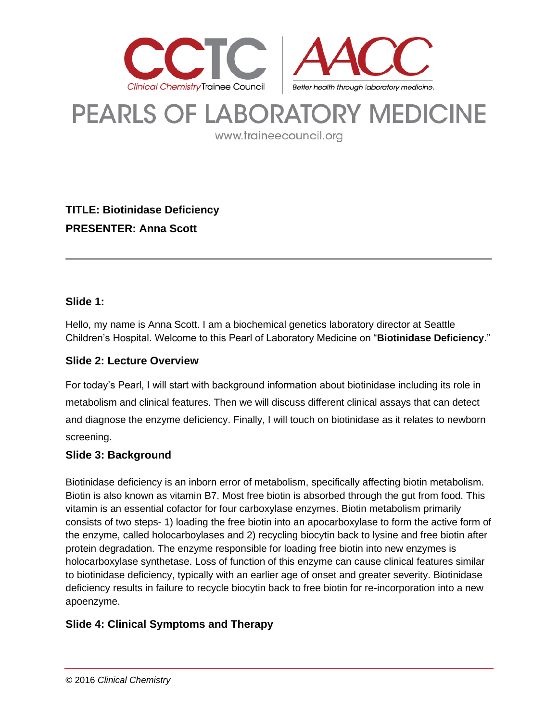

# PEARLS OF LABORATORY MEDICINE

www.traineecouncil.org

**TITLE: Biotinidase Deficiency PRESENTER: Anna Scott**

## **Slide 1:**

Hello, my name is Anna Scott. I am a biochemical genetics laboratory director at Seattle Children's Hospital. Welcome to this Pearl of Laboratory Medicine on "**Biotinidase Deficiency**."

## **Slide 2: Lecture Overview**

For today's Pearl, I will start with background information about biotinidase including its role in metabolism and clinical features. Then we will discuss different clinical assays that can detect and diagnose the enzyme deficiency. Finally, I will touch on biotinidase as it relates to newborn screening.

#### **Slide 3: Background**

Biotinidase deficiency is an inborn error of metabolism, specifically affecting biotin metabolism. Biotin is also known as vitamin B7. Most free biotin is absorbed through the gut from food. This vitamin is an essential cofactor for four carboxylase enzymes. Biotin metabolism primarily consists of two steps- 1) loading the free biotin into an apocarboxylase to form the active form of the enzyme, called holocarboylases and 2) recycling biocytin back to lysine and free biotin after protein degradation. The enzyme responsible for loading free biotin into new enzymes is holocarboxylase synthetase. Loss of function of this enzyme can cause clinical features similar to biotinidase deficiency, typically with an earlier age of onset and greater severity. Biotinidase deficiency results in failure to recycle biocytin back to free biotin for re-incorporation into a new apoenzyme.

## **Slide 4: Clinical Symptoms and Therapy**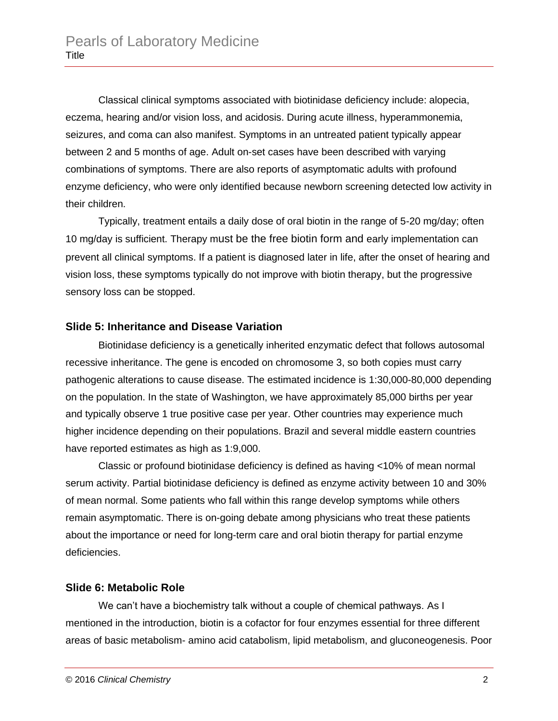Classical clinical symptoms associated with biotinidase deficiency include: alopecia, eczema, hearing and/or vision loss, and acidosis. During acute illness, hyperammonemia, seizures, and coma can also manifest. Symptoms in an untreated patient typically appear between 2 and 5 months of age. Adult on-set cases have been described with varying combinations of symptoms. There are also reports of asymptomatic adults with profound enzyme deficiency, who were only identified because newborn screening detected low activity in their children.

Typically, treatment entails a daily dose of oral biotin in the range of 5-20 mg/day; often 10 mg/day is sufficient. Therapy must be the free biotin form and early implementation can prevent all clinical symptoms. If a patient is diagnosed later in life, after the onset of hearing and vision loss, these symptoms typically do not improve with biotin therapy, but the progressive sensory loss can be stopped.

#### **Slide 5: Inheritance and Disease Variation**

Biotinidase deficiency is a genetically inherited enzymatic defect that follows autosomal recessive inheritance. The gene is encoded on chromosome 3, so both copies must carry pathogenic alterations to cause disease. The estimated incidence is 1:30,000-80,000 depending on the population. In the state of Washington, we have approximately 85,000 births per year and typically observe 1 true positive case per year. Other countries may experience much higher incidence depending on their populations. Brazil and several middle eastern countries have reported estimates as high as 1:9,000.

Classic or profound biotinidase deficiency is defined as having <10% of mean normal serum activity. Partial biotinidase deficiency is defined as enzyme activity between 10 and 30% of mean normal. Some patients who fall within this range develop symptoms while others remain asymptomatic. There is on-going debate among physicians who treat these patients about the importance or need for long-term care and oral biotin therapy for partial enzyme deficiencies.

#### **Slide 6: Metabolic Role**

We can't have a biochemistry talk without a couple of chemical pathways. As I mentioned in the introduction, biotin is a cofactor for four enzymes essential for three different areas of basic metabolism- amino acid catabolism, lipid metabolism, and gluconeogenesis. Poor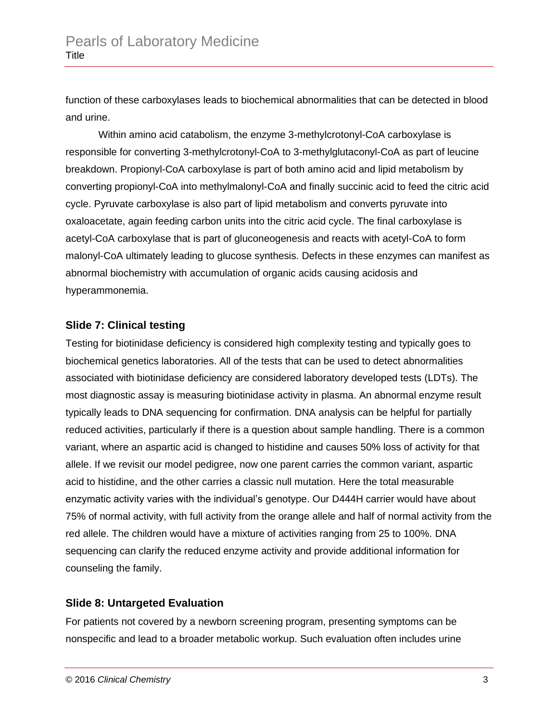function of these carboxylases leads to biochemical abnormalities that can be detected in blood and urine.

Within amino acid catabolism, the enzyme 3-methylcrotonyl-CoA carboxylase is responsible for converting 3-methylcrotonyl-CoA to 3-methylglutaconyl-CoA as part of leucine breakdown. Propionyl-CoA carboxylase is part of both amino acid and lipid metabolism by converting propionyl-CoA into methylmalonyl-CoA and finally succinic acid to feed the citric acid cycle. Pyruvate carboxylase is also part of lipid metabolism and converts pyruvate into oxaloacetate, again feeding carbon units into the citric acid cycle. The final carboxylase is acetyl-CoA carboxylase that is part of gluconeogenesis and reacts with acetyl-CoA to form malonyl-CoA ultimately leading to glucose synthesis. Defects in these enzymes can manifest as abnormal biochemistry with accumulation of organic acids causing acidosis and hyperammonemia.

## **Slide 7: Clinical testing**

Testing for biotinidase deficiency is considered high complexity testing and typically goes to biochemical genetics laboratories. All of the tests that can be used to detect abnormalities associated with biotinidase deficiency are considered laboratory developed tests (LDTs). The most diagnostic assay is measuring biotinidase activity in plasma. An abnormal enzyme result typically leads to DNA sequencing for confirmation. DNA analysis can be helpful for partially reduced activities, particularly if there is a question about sample handling. There is a common variant, where an aspartic acid is changed to histidine and causes 50% loss of activity for that allele. If we revisit our model pedigree, now one parent carries the common variant, aspartic acid to histidine, and the other carries a classic null mutation. Here the total measurable enzymatic activity varies with the individual's genotype. Our D444H carrier would have about 75% of normal activity, with full activity from the orange allele and half of normal activity from the red allele. The children would have a mixture of activities ranging from 25 to 100%. DNA sequencing can clarify the reduced enzyme activity and provide additional information for counseling the family.

## **Slide 8: Untargeted Evaluation**

For patients not covered by a newborn screening program, presenting symptoms can be nonspecific and lead to a broader metabolic workup. Such evaluation often includes urine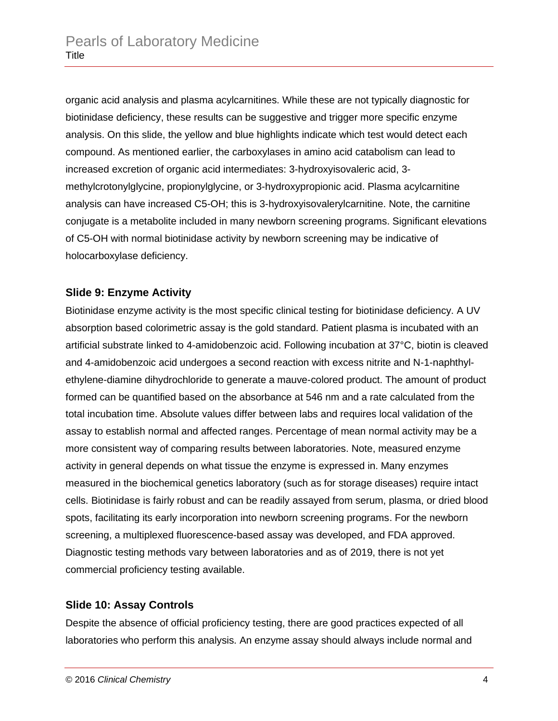organic acid analysis and plasma acylcarnitines. While these are not typically diagnostic for biotinidase deficiency, these results can be suggestive and trigger more specific enzyme analysis. On this slide, the yellow and blue highlights indicate which test would detect each compound. As mentioned earlier, the carboxylases in amino acid catabolism can lead to increased excretion of organic acid intermediates: 3-hydroxyisovaleric acid, 3 methylcrotonylglycine, propionylglycine, or 3-hydroxypropionic acid. Plasma acylcarnitine analysis can have increased C5-OH; this is 3-hydroxyisovalerylcarnitine. Note, the carnitine conjugate is a metabolite included in many newborn screening programs. Significant elevations of C5-OH with normal biotinidase activity by newborn screening may be indicative of holocarboxylase deficiency.

#### **Slide 9: Enzyme Activity**

Biotinidase enzyme activity is the most specific clinical testing for biotinidase deficiency. A UV absorption based colorimetric assay is the gold standard. Patient plasma is incubated with an artificial substrate linked to 4-amidobenzoic acid. Following incubation at 37°C, biotin is cleaved and 4-amidobenzoic acid undergoes a second reaction with excess nitrite and N-1-naphthylethylene-diamine dihydrochloride to generate a mauve-colored product. The amount of product formed can be quantified based on the absorbance at 546 nm and a rate calculated from the total incubation time. Absolute values differ between labs and requires local validation of the assay to establish normal and affected ranges. Percentage of mean normal activity may be a more consistent way of comparing results between laboratories. Note, measured enzyme activity in general depends on what tissue the enzyme is expressed in. Many enzymes measured in the biochemical genetics laboratory (such as for storage diseases) require intact cells. Biotinidase is fairly robust and can be readily assayed from serum, plasma, or dried blood spots, facilitating its early incorporation into newborn screening programs. For the newborn screening, a multiplexed fluorescence-based assay was developed, and FDA approved. Diagnostic testing methods vary between laboratories and as of 2019, there is not yet commercial proficiency testing available.

#### **Slide 10: Assay Controls**

Despite the absence of official proficiency testing, there are good practices expected of all laboratories who perform this analysis. An enzyme assay should always include normal and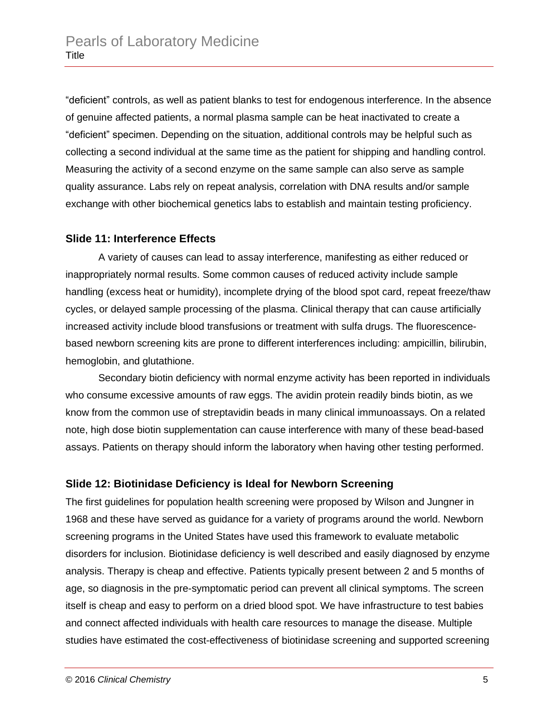"deficient" controls, as well as patient blanks to test for endogenous interference. In the absence of genuine affected patients, a normal plasma sample can be heat inactivated to create a "deficient" specimen. Depending on the situation, additional controls may be helpful such as collecting a second individual at the same time as the patient for shipping and handling control. Measuring the activity of a second enzyme on the same sample can also serve as sample quality assurance. Labs rely on repeat analysis, correlation with DNA results and/or sample exchange with other biochemical genetics labs to establish and maintain testing proficiency.

#### **Slide 11: Interference Effects**

A variety of causes can lead to assay interference, manifesting as either reduced or inappropriately normal results. Some common causes of reduced activity include sample handling (excess heat or humidity), incomplete drying of the blood spot card, repeat freeze/thaw cycles, or delayed sample processing of the plasma. Clinical therapy that can cause artificially increased activity include blood transfusions or treatment with sulfa drugs. The fluorescencebased newborn screening kits are prone to different interferences including: ampicillin, bilirubin, hemoglobin, and glutathione.

Secondary biotin deficiency with normal enzyme activity has been reported in individuals who consume excessive amounts of raw eggs. The avidin protein readily binds biotin, as we know from the common use of streptavidin beads in many clinical immunoassays. On a related note, high dose biotin supplementation can cause interference with many of these bead-based assays. Patients on therapy should inform the laboratory when having other testing performed.

#### **Slide 12: Biotinidase Deficiency is Ideal for Newborn Screening**

The first guidelines for population health screening were proposed by Wilson and Jungner in 1968 and these have served as guidance for a variety of programs around the world. Newborn screening programs in the United States have used this framework to evaluate metabolic disorders for inclusion. Biotinidase deficiency is well described and easily diagnosed by enzyme analysis. Therapy is cheap and effective. Patients typically present between 2 and 5 months of age, so diagnosis in the pre-symptomatic period can prevent all clinical symptoms. The screen itself is cheap and easy to perform on a dried blood spot. We have infrastructure to test babies and connect affected individuals with health care resources to manage the disease. Multiple studies have estimated the cost-effectiveness of biotinidase screening and supported screening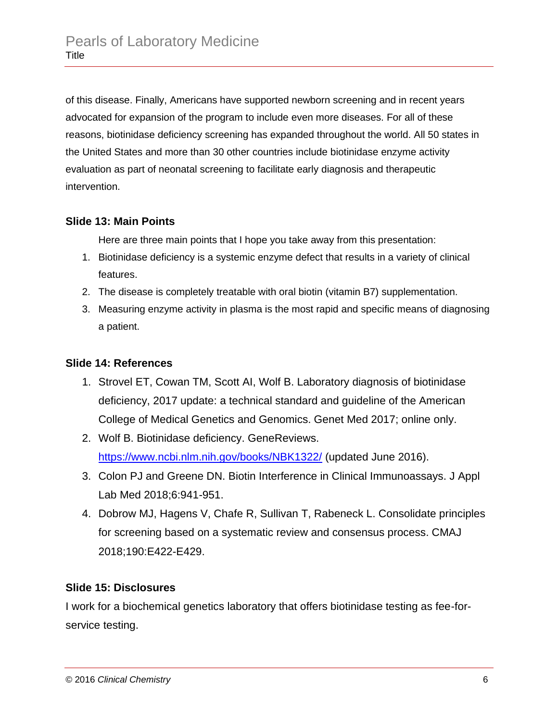of this disease. Finally, Americans have supported newborn screening and in recent years advocated for expansion of the program to include even more diseases. For all of these reasons, biotinidase deficiency screening has expanded throughout the world. All 50 states in the United States and more than 30 other countries include biotinidase enzyme activity evaluation as part of neonatal screening to facilitate early diagnosis and therapeutic intervention.

## **Slide 13: Main Points**

Here are three main points that I hope you take away from this presentation:

- 1. Biotinidase deficiency is a systemic enzyme defect that results in a variety of clinical features.
- 2. The disease is completely treatable with oral biotin (vitamin B7) supplementation.
- 3. Measuring enzyme activity in plasma is the most rapid and specific means of diagnosing a patient.

## **Slide 14: References**

- 1. Strovel ET, Cowan TM, Scott AI, Wolf B. Laboratory diagnosis of biotinidase deficiency, 2017 update: a technical standard and guideline of the American College of Medical Genetics and Genomics. Genet Med 2017; online only.
- 2. Wolf B. Biotinidase deficiency. GeneReviews. <https://www.ncbi.nlm.nih.gov/books/NBK1322/> (updated June 2016).
- 3. Colon PJ and Greene DN. Biotin Interference in Clinical Immunoassays. J Appl Lab Med 2018;6:941-951.
- 4. Dobrow MJ, Hagens V, Chafe R, Sullivan T, Rabeneck L. Consolidate principles for screening based on a systematic review and consensus process. CMAJ 2018;190:E422-E429.

## **Slide 15: Disclosures**

I work for a biochemical genetics laboratory that offers biotinidase testing as fee-forservice testing.